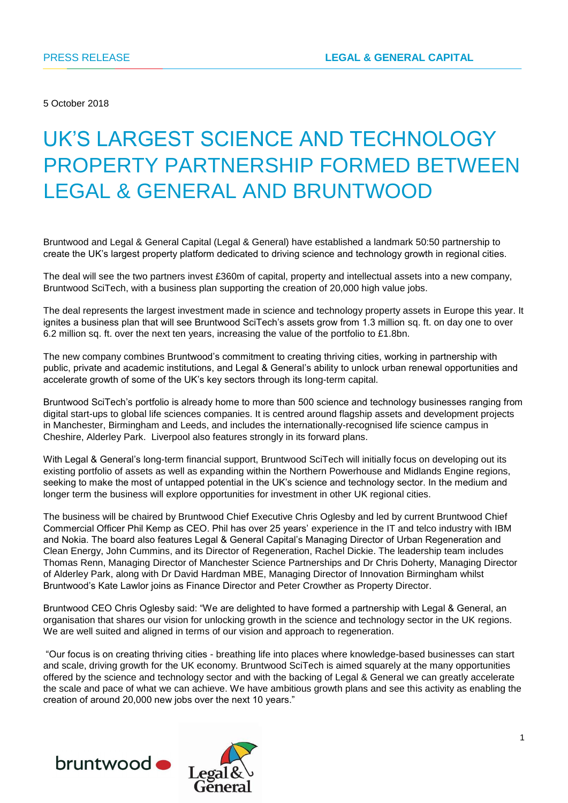5 October 2018

# UK'S LARGEST SCIENCE AND TECHNOLOGY PROPERTY PARTNERSHIP FORMED BETWEEN LEGAL & GENERAL AND BRUNTWOOD

Bruntwood and Legal & General Capital (Legal & General) have established a landmark 50:50 partnership to create the UK's largest property platform dedicated to driving science and technology growth in regional cities.

The deal will see the two partners invest £360m of capital, property and intellectual assets into a new company, Bruntwood SciTech, with a business plan supporting the creation of 20,000 high value jobs.

The deal represents the largest investment made in science and technology property assets in Europe this year. It ignites a business plan that will see Bruntwood SciTech's assets grow from 1.3 million sq. ft. on day one to over 6.2 million sq. ft. over the next ten years, increasing the value of the portfolio to £1.8bn.

The new company combines Bruntwood's commitment to creating thriving cities, working in partnership with public, private and academic institutions, and Legal & General's ability to unlock urban renewal opportunities and accelerate growth of some of the UK's key sectors through its long-term capital.

Bruntwood SciTech's portfolio is already home to more than 500 science and technology businesses ranging from digital start-ups to global life sciences companies. It is centred around flagship assets and development projects in Manchester, Birmingham and Leeds, and includes the internationally-recognised life science campus in Cheshire, Alderley Park. Liverpool also features strongly in its forward plans.

With Legal & General's long-term financial support, Bruntwood SciTech will initially focus on developing out its existing portfolio of assets as well as expanding within the Northern Powerhouse and Midlands Engine regions, seeking to make the most of untapped potential in the UK's science and technology sector. In the medium and longer term the business will explore opportunities for investment in other UK regional cities.

The business will be chaired by Bruntwood Chief Executive Chris Oglesby and led by current Bruntwood Chief Commercial Officer Phil Kemp as CEO. Phil has over 25 years' experience in the IT and telco industry with IBM and Nokia. The board also features Legal & General Capital's Managing Director of Urban Regeneration and Clean Energy, John Cummins, and its Director of Regeneration, Rachel Dickie. The leadership team includes Thomas Renn, Managing Director of Manchester Science Partnerships and Dr Chris Doherty, Managing Director of Alderley Park, along with Dr David Hardman MBE, Managing Director of Innovation Birmingham whilst Bruntwood's Kate Lawlor joins as Finance Director and Peter Crowther as Property Director.

Bruntwood CEO Chris Oglesby said: "We are delighted to have formed a partnership with Legal & General, an organisation that shares our vision for unlocking growth in the science and technology sector in the UK regions. We are well suited and aligned in terms of our vision and approach to regeneration.

"Our focus is on creating thriving cities - breathing life into places where knowledge-based businesses can start and scale, driving growth for the UK economy. Bruntwood SciTech is aimed squarely at the many opportunities offered by the science and technology sector and with the backing of Legal & General we can greatly accelerate the scale and pace of what we can achieve. We have ambitious growth plans and see this activity as enabling the creation of around 20,000 new jobs over the next 10 years."



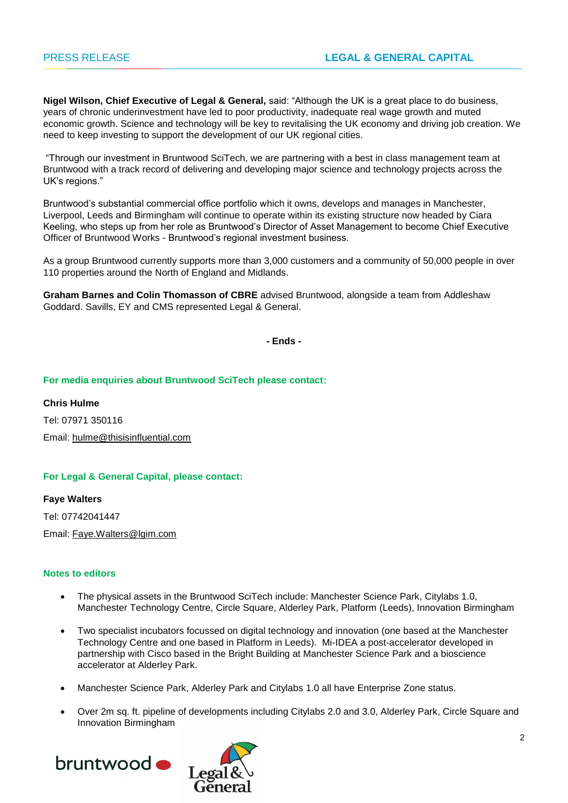**Nigel Wilson, Chief Executive of Legal & General,** said: "Although the UK is a great place to do business, years of chronic underinvestment have led to poor productivity, inadequate real wage growth and muted economic growth. Science and technology will be key to revitalising the UK economy and driving job creation. We need to keep investing to support the development of our UK regional cities.

"Through our investment in Bruntwood SciTech, we are partnering with a best in class management team at Bruntwood with a track record of delivering and developing major science and technology projects across the UK's regions."

Bruntwood's substantial commercial office portfolio which it owns, develops and manages in Manchester, Liverpool, Leeds and Birmingham will continue to operate within its existing structure now headed by Ciara Keeling, who steps up from her role as Bruntwood's Director of Asset Management to become Chief Executive Officer of Bruntwood Works - Bruntwood's regional investment business.

As a group Bruntwood currently supports more than 3,000 customers and a community of 50,000 people in over 110 properties around the North of England and Midlands.

**Graham Barnes and Colin Thomasson of CBRE** advised Bruntwood, alongside a team from Addleshaw Goddard. Savills, EY and CMS represented Legal & General.

**- Ends -**

#### **For media enquiries about Bruntwood SciTech please contact:**

**Chris Hulme** Tel: 07971 350116 Email: [hulme@thisisinfluential.com](mailto:hulme@thisisinfluential.com)

## **For Legal & General Capital, please contact:**

**Faye Walters** Tel: 07742041447 Email: [Faye.Walters@lgim.com](mailto:Faye.Walters@lgim.com)

#### **Notes to editors**

- The physical assets in the Bruntwood SciTech include: Manchester Science Park, Citylabs 1.0, Manchester Technology Centre, Circle Square, Alderley Park, Platform (Leeds), Innovation Birmingham
- Two specialist incubators focussed on digital technology and innovation (one based at the Manchester Technology Centre and one based in Platform in Leeds). Mi-IDEA a post-accelerator developed in partnership with Cisco based in the Bright Building at Manchester Science Park and a bioscience accelerator at Alderley Park.
- Manchester Science Park, Alderley Park and Citylabs 1.0 all have Enterprise Zone status.
- Over 2m sq. ft. pipeline of developments including Citylabs 2.0 and 3.0, Alderley Park, Circle Square and Innovation Birmingham



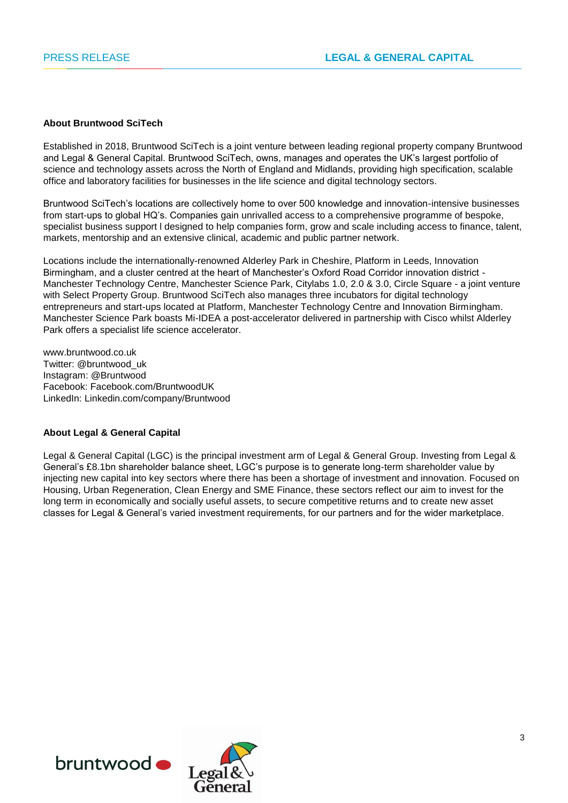#### **About Bruntwood SciTech**

Established in 2018, Bruntwood SciTech is a joint venture between leading regional property company Bruntwood and Legal & General Capital. Bruntwood SciTech, owns, manages and operates the UK's largest portfolio of science and technology assets across the North of England and Midlands, providing high specification, scalable office and laboratory facilities for businesses in the life science and digital technology sectors.

Bruntwood SciTech's locations are collectively home to over 500 knowledge and innovation-intensive businesses from start-ups to global HQ's. Companies gain unrivalled access to a comprehensive programme of bespoke, specialist business support l designed to help companies form, grow and scale including access to finance, talent, markets, mentorship and an extensive clinical, academic and public partner network.

Locations include the internationally-renowned Alderley Park in Cheshire, Platform in Leeds, Innovation Birmingham, and a cluster centred at the heart of Manchester's Oxford Road Corridor innovation district - Manchester Technology Centre, Manchester Science Park, Citylabs 1.0, 2.0 & 3.0, Circle Square - a joint venture with Select Property Group. Bruntwood SciTech also manages three incubators for digital technology entrepreneurs and start-ups located at Platform, Manchester Technology Centre and Innovation Birmingham. Manchester Science Park boasts Mi-IDEA a post-accelerator delivered in partnership with Cisco whilst Alderley Park offers a specialist life science accelerator.

www.bruntwood.co.uk Twitter: @bruntwood\_uk Instagram: @Bruntwood Facebook: Facebook.com/BruntwoodUK LinkedIn: Linkedin.com/company/Bruntwood

#### **About Legal & General Capital**

Legal & General Capital (LGC) is the principal investment arm of Legal & General Group. Investing from Legal & General's £8.1bn shareholder balance sheet, LGC's purpose is to generate long-term shareholder value by injecting new capital into key sectors where there has been a shortage of investment and innovation. Focused on Housing, Urban Regeneration, Clean Energy and SME Finance, these sectors reflect our aim to invest for the long term in economically and socially useful assets, to secure competitive returns and to create new asset classes for Legal & General's varied investment requirements, for our partners and for the wider marketplace.